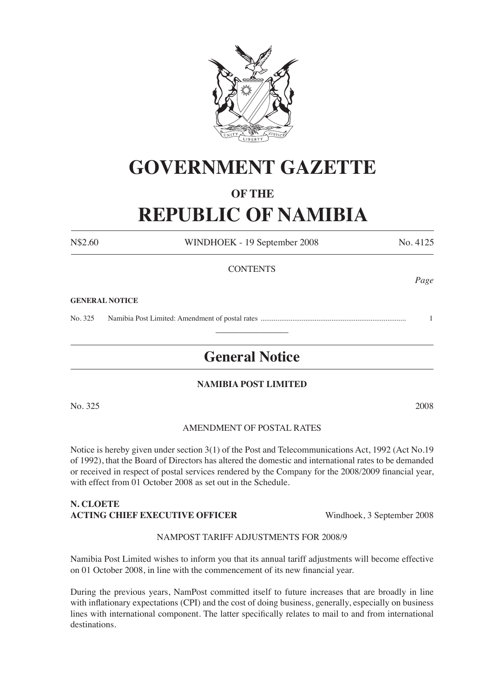

# **GOVERNMENT GAZETTE**

### **OF THE**

## **REPUBLIC OF NAMIBIA**

N\$2.60 WINDHOEK - 19 September 2008 No. 4125 **CONTENTS** *Page*

#### **GENERAL NOTICE**

No. 325 Namibia Post Limited: Amendment of postal rates .............................................................................. 1  $\overline{\phantom{a}}$  , where  $\overline{\phantom{a}}$ 

### **General Notice**

#### **NAMIBIA POST LIMITED**

No. 325 2008

#### AMENDMENT OF POSTAL RATES

Notice is hereby given under section 3(1) of the Post and Telecommunications Act, 1992 (Act No.19 of 1992), that the Board of Directors has altered the domestic and international rates to be demanded or received in respect of postal services rendered by the Company for the 2008/2009 financial year, with effect from 01 October 2008 as set out in the Schedule.

#### **N. CLOETE ACTING CHIEF EXECUTIVE OFFICER** Windhoek, 3 September 2008

#### NAMPOST TARIFF ADJUSTMENTS FOR 2008/9

Namibia Post Limited wishes to inform you that its annual tariff adjustments will become effective on 01 October 2008, in line with the commencement of its new financial year.

During the previous years, NamPost committed itself to future increases that are broadly in line with inflationary expectations (CPI) and the cost of doing business, generally, especially on business lines with international component. The latter specifically relates to mail to and from international destinations.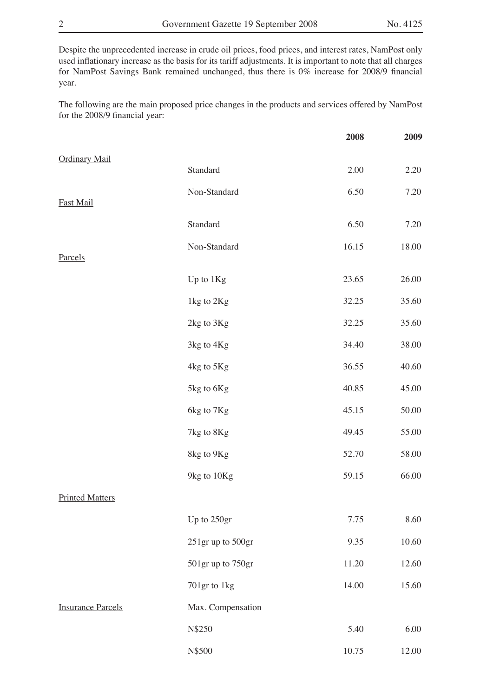Despite the unprecedented increase in crude oil prices, food prices, and interest rates, NamPost only used inflationary increase as the basis for its tariff adjustments. It is important to note that all charges for NamPost Savings Bank remained unchanged, thus there is 0% increase for 2008/9 financial year.

The following are the main proposed price changes in the products and services offered by NamPost for the 2008/9 financial year:

|                          |                   | 2008  | 2009  |
|--------------------------|-------------------|-------|-------|
| <b>Ordinary Mail</b>     | Standard          | 2.00  | 2.20  |
|                          |                   |       |       |
| Fast Mail                | Non-Standard      | 6.50  | 7.20  |
|                          | Standard          | 6.50  | 7.20  |
| Parcels                  | Non-Standard      | 16.15 | 18.00 |
|                          | Up to 1Kg         | 23.65 | 26.00 |
|                          | 1kg to 2Kg        | 32.25 | 35.60 |
|                          | 2kg to 3Kg        | 32.25 | 35.60 |
|                          | 3kg to 4Kg        | 34.40 | 38.00 |
|                          | 4kg to 5Kg        | 36.55 | 40.60 |
|                          | 5kg to 6Kg        | 40.85 | 45.00 |
|                          | 6kg to 7Kg        | 45.15 | 50.00 |
|                          | 7kg to 8Kg        | 49.45 | 55.00 |
|                          | 8kg to 9Kg        | 52.70 | 58.00 |
|                          | 9kg to 10Kg       | 59.15 | 66.00 |
| <b>Printed Matters</b>   |                   |       |       |
|                          | Up to 250gr       | 7.75  | 8.60  |
|                          | 251gr up to 500gr | 9.35  | 10.60 |
|                          | 501gr up to 750gr | 11.20 | 12.60 |
|                          | 701gr to 1kg      | 14.00 | 15.60 |
| <b>Insurance Parcels</b> | Max. Compensation |       |       |
|                          | N\$250            | 5.40  | 6.00  |
|                          | N\$500            | 10.75 | 12.00 |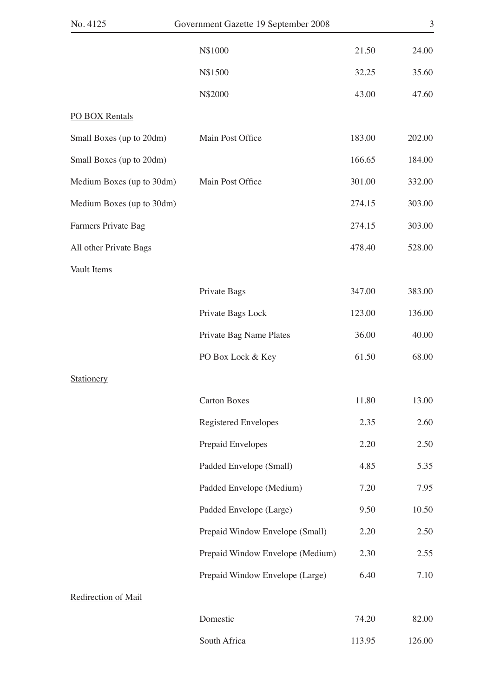|        | Government Gazette 19 September 2008 |
|--------|--------------------------------------|
| 21.50  | N\$1000                              |
| 32.25  | N\$1500                              |
| 43.00  | N\$2000                              |
|        |                                      |
| 183.00 | Main Post Office                     |
| 166.65 |                                      |
| 301.00 | Main Post Office                     |
| 274.15 |                                      |
| 274.15 |                                      |
| 478.40 |                                      |
|        |                                      |
| 347.00 | Private Bags                         |
| 123.00 | Private Bags Lock                    |
| 36.00  | Private Bag Name Plates              |
| 61.50  | PO Box Lock & Key                    |
|        |                                      |
| 11.80  | <b>Carton Boxes</b>                  |
| 2.35   | Registered Envelopes                 |
| 2.20   | Prepaid Envelopes                    |
| 4.85   | Padded Envelope (Small)              |
| 7.20   | Padded Envelope (Medium)             |
| 9.50   | Padded Envelope (Large)              |
| 2.20   | Prepaid Window Envelope (Small)      |
| 2.30   | Prepaid Window Envelope (Medium)     |
| 6.40   | Prepaid Window Envelope (Large)      |
|        |                                      |
| 74.20  | Domestic                             |
| 113.95 | South Africa                         |
|        |                                      |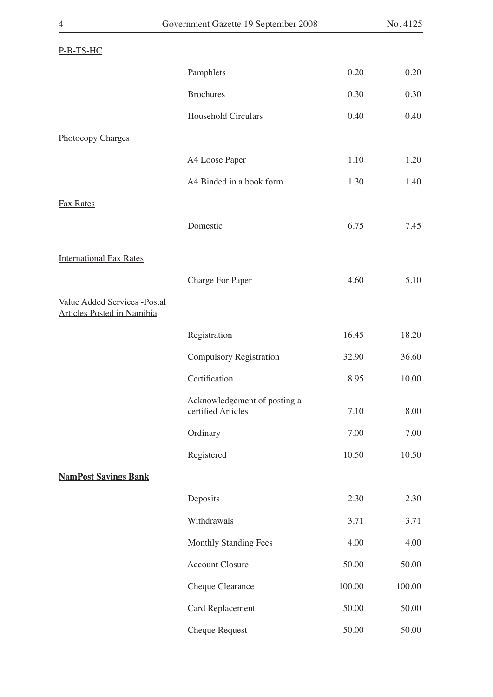| $P-B-TS-HC$                                                              |                                                    |        |        |
|--------------------------------------------------------------------------|----------------------------------------------------|--------|--------|
|                                                                          | Pamphlets                                          | 0.20   | 0.20   |
|                                                                          | <b>Brochures</b>                                   | 0.30   | 0.30   |
|                                                                          | Household Circulars                                | 0.40   | 0.40   |
| <b>Photocopy Charges</b>                                                 |                                                    |        |        |
|                                                                          | A4 Loose Paper                                     | 1.10   | 1.20   |
|                                                                          | A4 Binded in a book form                           | 1.30   | 1.40   |
| <b>Fax Rates</b>                                                         |                                                    |        |        |
|                                                                          | Domestic                                           | 6.75   | 7.45   |
| <b>International Fax Rates</b>                                           |                                                    |        |        |
|                                                                          | <b>Charge For Paper</b>                            | 4.60   | 5.10   |
| <b>Value Added Services -Postal</b><br><b>Articles Posted in Namibia</b> |                                                    |        |        |
|                                                                          | Registration                                       | 16.45  | 18.20  |
|                                                                          | <b>Compulsory Registration</b>                     | 32.90  | 36.60  |
|                                                                          | Certification                                      | 8.95   | 10.00  |
|                                                                          | Acknowledgement of posting a<br>certified Articles | 7.10   | 8.00   |
|                                                                          | Ordinary                                           | 7.00   | 7.00   |
|                                                                          | Registered                                         | 10.50  | 10.50  |
| <b>NamPost Savings Bank</b>                                              |                                                    |        |        |
|                                                                          | Deposits                                           | 2.30   | 2.30   |
|                                                                          | Withdrawals                                        | 3.71   | 3.71   |
|                                                                          | <b>Monthly Standing Fees</b>                       | 4.00   | 4.00   |
|                                                                          | <b>Account Closure</b>                             | 50.00  | 50.00  |
|                                                                          | Cheque Clearance                                   | 100.00 | 100.00 |
|                                                                          | <b>Card Replacement</b>                            | 50.00  | 50.00  |
|                                                                          | <b>Cheque Request</b>                              | 50.00  | 50.00  |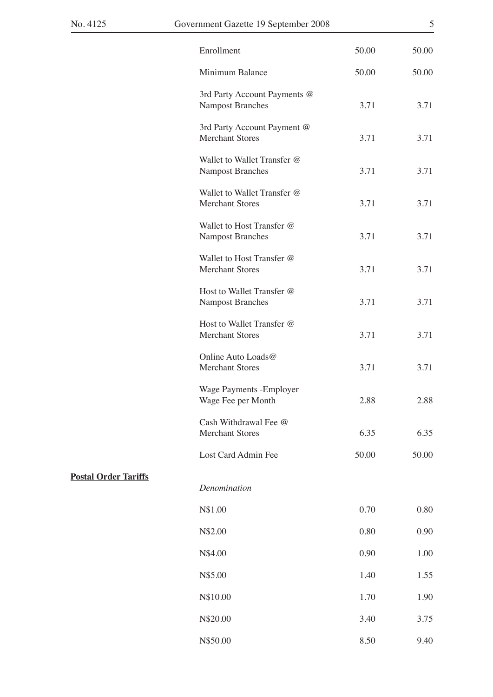|                             | Enrollment                                              | 50.00 | 50.00 |
|-----------------------------|---------------------------------------------------------|-------|-------|
|                             | Minimum Balance                                         | 50.00 | 50.00 |
|                             | 3rd Party Account Payments @<br><b>Nampost Branches</b> | 3.71  | 3.71  |
|                             | 3rd Party Account Payment @<br><b>Merchant Stores</b>   | 3.71  | 3.71  |
|                             | Wallet to Wallet Transfer @<br><b>Nampost Branches</b>  | 3.71  | 3.71  |
|                             | Wallet to Wallet Transfer @<br><b>Merchant Stores</b>   | 3.71  | 3.71  |
|                             | Wallet to Host Transfer @<br><b>Nampost Branches</b>    | 3.71  | 3.71  |
|                             | Wallet to Host Transfer @<br><b>Merchant Stores</b>     | 3.71  | 3.71  |
|                             | Host to Wallet Transfer @<br><b>Nampost Branches</b>    | 3.71  | 3.71  |
|                             | Host to Wallet Transfer @<br><b>Merchant Stores</b>     | 3.71  | 3.71  |
|                             | Online Auto Loads@<br><b>Merchant Stores</b>            | 3.71  | 3.71  |
|                             | Wage Payments - Employer<br>Wage Fee per Month          | 2.88  | 2.88  |
|                             | Cash Withdrawal Fee @<br><b>Merchant Stores</b>         | 6.35  | 6.35  |
|                             | Lost Card Admin Fee                                     | 50.00 | 50.00 |
| <b>Postal Order Tariffs</b> | Denomination                                            |       |       |
|                             | N\$1.00                                                 | 0.70  | 0.80  |
|                             | N\$2.00                                                 | 0.80  | 0.90  |
|                             | N\$4.00                                                 | 0.90  | 1.00  |
|                             | N\$5.00                                                 | 1.40  | 1.55  |
|                             | N\$10.00                                                | 1.70  | 1.90  |
|                             | N\$20.00                                                | 3.40  | 3.75  |
|                             | N\$50.00                                                | 8.50  | 9.40  |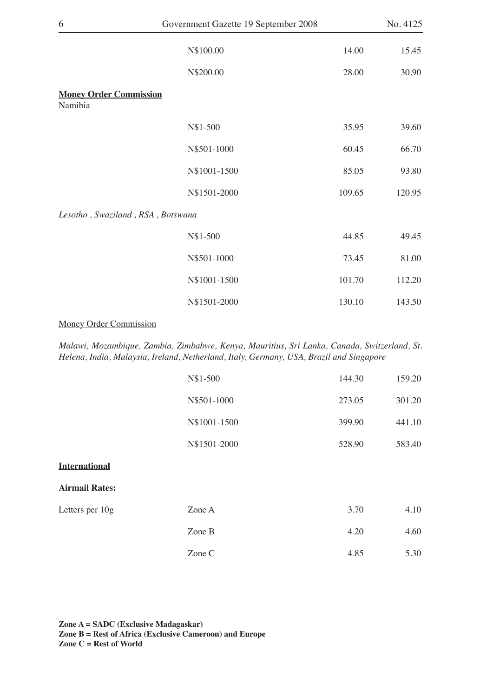| 6                                        | Government Gazette 19 September 2008 |        | No. 4125 |
|------------------------------------------|--------------------------------------|--------|----------|
|                                          | N\$100.00                            | 14.00  | 15.45    |
|                                          | N\$200.00                            | 28.00  | 30.90    |
| <b>Money Order Commission</b><br>Namibia |                                      |        |          |
|                                          | N\$1-500                             | 35.95  | 39.60    |
|                                          | N\$501-1000                          | 60.45  | 66.70    |
|                                          | N\$1001-1500                         | 85.05  | 93.80    |
|                                          | N\$1501-2000                         | 109.65 | 120.95   |
| Lesotho, Swaziland, RSA, Botswana        |                                      |        |          |
|                                          | N\$1-500                             | 44.85  | 49.45    |
|                                          | N\$501-1000                          | 73.45  | 81.00    |
|                                          | N\$1001-1500                         | 101.70 | 112.20   |
|                                          | N\$1501-2000                         | 130.10 | 143.50   |

#### Money Order Commission

*Malawi, Mozambique, Zambia, Zimbabwe, Kenya, Mauritius, Sri Lanka, Canada, Switzerland, St. Helena, India, Malaysia, Ireland, Netherland, Italy, Germany, USA, Brazil and Singapore*

|                       | N\$1-500     | 144.30 | 159.20 |
|-----------------------|--------------|--------|--------|
|                       | N\$501-1000  | 273.05 | 301.20 |
|                       | N\$1001-1500 | 399.90 | 441.10 |
|                       | N\$1501-2000 | 528.90 | 583.40 |
| <b>International</b>  |              |        |        |
| <b>Airmail Rates:</b> |              |        |        |
| Letters per 10g       | Zone A       | 3.70   | 4.10   |
|                       | Zone B       | 4.20   | 4.60   |
|                       | Zone C       | 4.85   | 5.30   |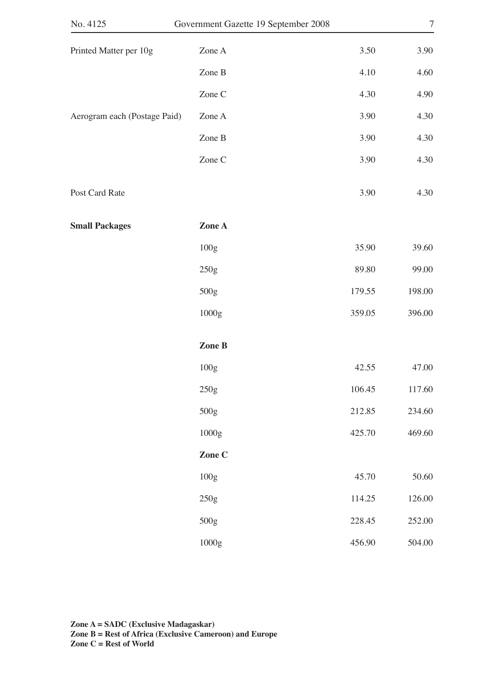|        | Government Gazette 19 September 2008 | No. 4125                     |
|--------|--------------------------------------|------------------------------|
| 3.50   | Zone A                               | Printed Matter per 10g       |
| 4.10   | Zone $B$                             |                              |
| 4.30   | Zone C                               |                              |
| 3.90   | Zone A                               | Aerogram each (Postage Paid) |
| 3.90   | Zone $B$                             |                              |
| 3.90   | Zone C                               |                              |
| 3.90   |                                      | Post Card Rate               |
|        | Zone A                               | <b>Small Packages</b>        |
| 35.90  | $100g$                               |                              |
| 89.80  | 250g                                 |                              |
| 179.55 | 500g                                 |                              |
| 359.05 | 1000g                                |                              |
|        | Zone B                               |                              |
| 42.55  | 100g                                 |                              |
| 106.45 | 250g                                 |                              |
| 212.85 | 500g                                 |                              |
| 425.70 | $1000g$                              |                              |
|        | Zone C                               |                              |
| 45.70  | 100g                                 |                              |
| 114.25 | 250g                                 |                              |
| 228.45 | 500g                                 |                              |
| 456.90 | $1000\mathrm{g}$                     |                              |
|        |                                      |                              |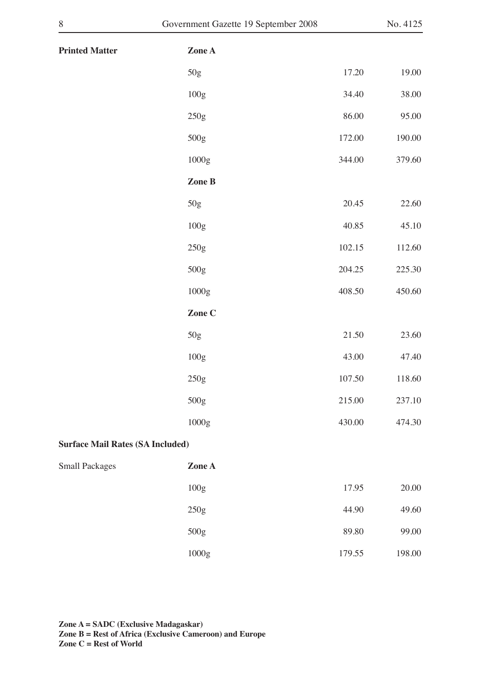| <b>Printed Matter</b>                   | Zone A |        |        |
|-----------------------------------------|--------|--------|--------|
|                                         | $50g$  | 17.20  | 19.00  |
|                                         | 100g   | 34.40  | 38.00  |
|                                         | 250g   | 86.00  | 95.00  |
|                                         | 500g   | 172.00 | 190.00 |
|                                         | 1000g  | 344.00 | 379.60 |
|                                         | Zone B |        |        |
|                                         | 50g    | 20.45  | 22.60  |
|                                         | 100g   | 40.85  | 45.10  |
|                                         | 250g   | 102.15 | 112.60 |
|                                         | 500g   | 204.25 | 225.30 |
|                                         | 1000g  | 408.50 | 450.60 |
|                                         | Zone C |        |        |
|                                         | 50g    | 21.50  | 23.60  |
|                                         |        |        |        |
|                                         | 100g   | 43.00  | 47.40  |
|                                         | 250g   | 107.50 | 118.60 |
|                                         | 500g   | 215.00 | 237.10 |
|                                         | 1000g  | 430.00 | 474.30 |
| <b>Surface Mail Rates (SA Included)</b> |        |        |        |
| <b>Small Packages</b>                   | Zone A |        |        |
|                                         | 100g   | 17.95  | 20.00  |
|                                         | 250g   | 44.90  | 49.60  |
|                                         | 500g   | 89.80  | 99.00  |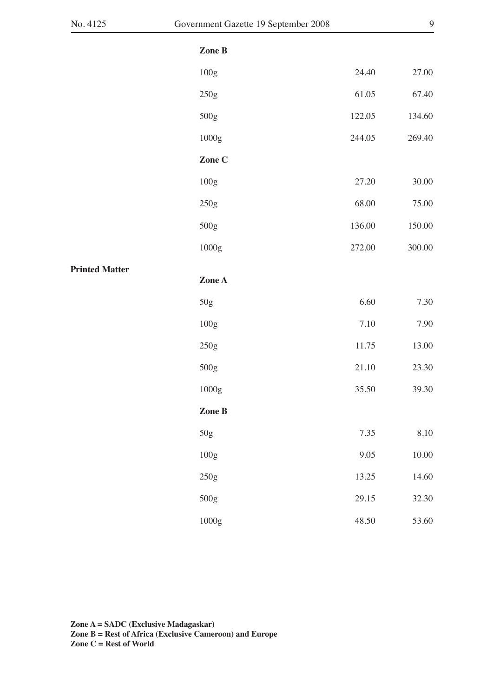|         | ٧<br>I       |   |  |
|---------|--------------|---|--|
|         |              |   |  |
|         |              |   |  |
| ×<br>v. |              | I |  |
|         | I<br>I<br>۰, | I |  |
|         | ٧            |   |  |

|                       | Zone B |           |           |
|-----------------------|--------|-----------|-----------|
|                       | 100g   | 24.40     | 27.00     |
|                       | 250g   | 61.05     | 67.40     |
|                       | 500g   | 122.05    | 134.60    |
|                       | 1000g  | 244.05    | 269.40    |
|                       | Zone C |           |           |
|                       | 100g   | 27.20     | 30.00     |
|                       | 250g   | 68.00     | 75.00     |
|                       | 500g   | 136.00    | 150.00    |
|                       | 1000g  | 272.00    | 300.00    |
| <b>Printed Matter</b> | Zone A |           |           |
|                       | $50g$  | 6.60      | 7.30      |
|                       | 100g   | 7.10      | 7.90      |
|                       | 250g   | 11.75     | 13.00     |
|                       | 500g   | $21.10\,$ | 23.30     |
|                       | 1000g  | 35.50     | 39.30     |
|                       | Zone B |           |           |
|                       | $50g$  | 7.35      | $8.10\,$  |
|                       | 100g   | $9.05\,$  | $10.00\,$ |
|                       | 250g   | 13.25     | $14.60\,$ |
|                       | 500g   | 29.15     | 32.30     |
|                       | 1000g  | 48.50     | 53.60     |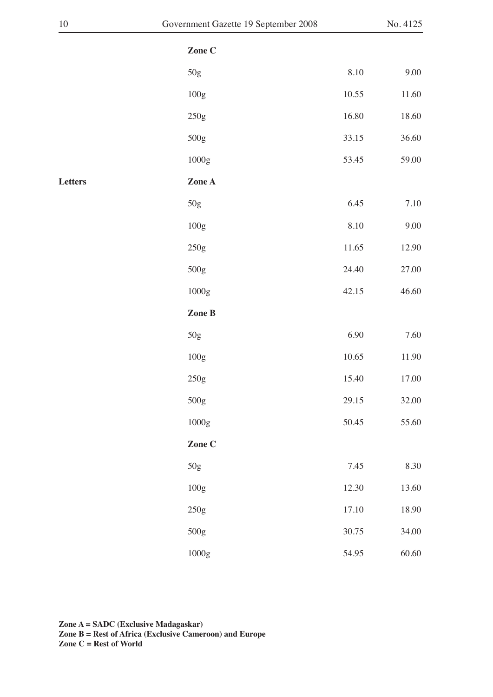| 10      | Government Gazette 19 September 2008 |       | No. 4125 |
|---------|--------------------------------------|-------|----------|
|         | Zone C                               |       |          |
|         | 50g                                  | 8.10  | 9.00     |
|         | $100\mathrm{g}$                      | 10.55 | 11.60    |
|         | $250g$                               | 16.80 | 18.60    |
|         | 500g                                 | 33.15 | 36.60    |
|         | $1000\mathrm{g}$                     | 53.45 | 59.00    |
| Letters | Zone A                               |       |          |
|         | $50g$                                | 6.45  | 7.10     |
|         | $100g$                               | 8.10  | 9.00     |
|         | 250g                                 | 11.65 | 12.90    |
|         | 500g                                 | 24.40 | 27.00    |
|         | $1000\mathrm{g}$                     | 42.15 | 46.60    |
|         | Zone B                               |       |          |
|         | 50g                                  | 6.90  | 7.60     |
|         | $100\mathrm{g}$                      | 10.65 | 11.90    |
|         | 250g                                 | 15.40 | 17.00    |
|         | 500g                                 | 29.15 | 32.00    |
|         | 1000g                                | 50.45 | 55.60    |
|         | Zone C                               |       |          |
|         | 50g                                  | 7.45  | 8.30     |
|         | 100g                                 | 12.30 | 13.60    |
|         | 250g                                 | 17.10 | 18.90    |
|         | 500g                                 | 30.75 | 34.00    |
|         | 1000g                                | 54.95 | 60.60    |
|         |                                      |       |          |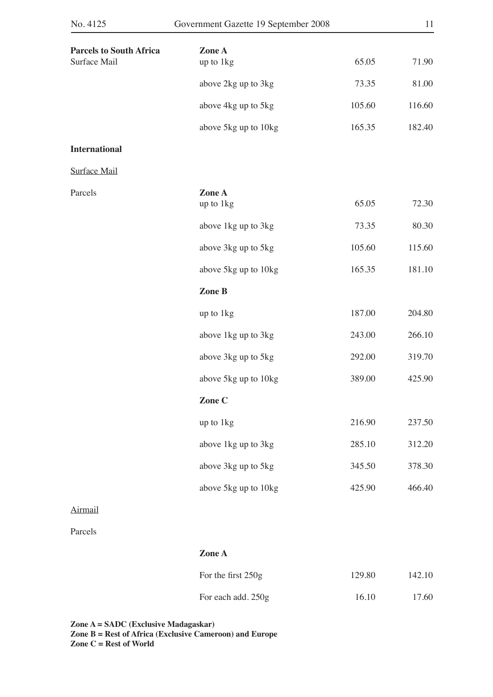| <b>Parcels to South Africa</b> | Zone A               |        |        |
|--------------------------------|----------------------|--------|--------|
| Surface Mail                   | up to 1kg            | 65.05  | 71.90  |
|                                | above 2kg up to 3kg  | 73.35  | 81.00  |
|                                | above 4kg up to 5kg  | 105.60 | 116.60 |
|                                | above 5kg up to 10kg | 165.35 | 182.40 |
| <b>International</b>           |                      |        |        |
| Surface Mail                   |                      |        |        |
| Parcels                        | Zone A<br>up to 1kg  | 65.05  | 72.30  |
|                                | above 1kg up to 3kg  | 73.35  | 80.30  |
|                                | above 3kg up to 5kg  | 105.60 | 115.60 |
|                                | above 5kg up to 10kg | 165.35 | 181.10 |
|                                | Zone B               |        |        |
|                                | up to 1kg            | 187.00 | 204.80 |
|                                | above 1kg up to 3kg  | 243.00 | 266.10 |
|                                | above 3kg up to 5kg  | 292.00 | 319.70 |
|                                | above 5kg up to 10kg | 389.00 | 425.90 |
|                                | Zone C               |        |        |
|                                | up to 1kg            | 216.90 | 237.50 |
|                                | above 1kg up to 3kg  | 285.10 | 312.20 |
|                                | above 3kg up to 5kg  | 345.50 | 378.30 |
|                                | above 5kg up to 10kg | 425.90 | 466.40 |
| <b>Airmail</b>                 |                      |        |        |

Parcels

**Zone A**

| For the first $250g$ | 129.80 | 142.10 |
|----------------------|--------|--------|
| For each add. 250g   | 16.10  | 17.60  |

**Zone A = SADC (Exclusive Madagaskar)**

**Zone B = Rest of Africa (Exclusive Cameroon) and Europe**

**Zone C = Rest of World**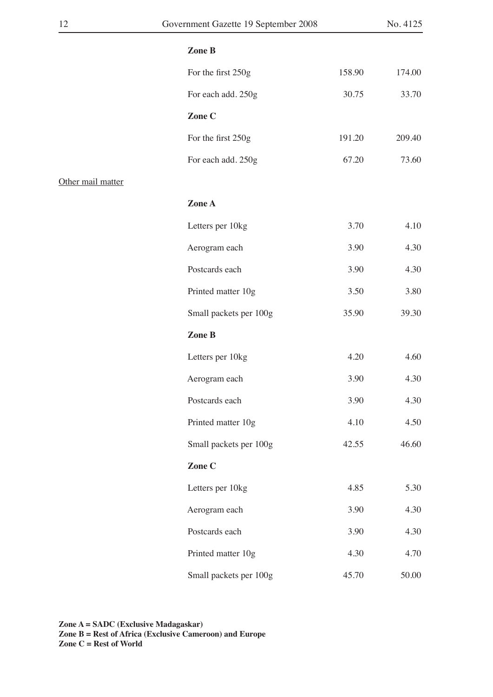| 12                | Government Gazette 19 September 2008 |        | No. 4125 |
|-------------------|--------------------------------------|--------|----------|
|                   | Zone B                               |        |          |
|                   | For the first 250g                   | 158.90 | 174.00   |
|                   | For each add. 250g                   | 30.75  | 33.70    |
|                   | Zone C                               |        |          |
|                   | For the first 250g                   | 191.20 | 209.40   |
|                   | For each add. 250g                   | 67.20  | 73.60    |
| Other mail matter |                                      |        |          |
|                   | Zone A                               |        |          |
|                   | Letters per 10kg                     | 3.70   | 4.10     |
|                   | Aerogram each                        | 3.90   | 4.30     |
|                   | Postcards each                       | 3.90   | 4.30     |
|                   | Printed matter 10g                   | 3.50   | 3.80     |
|                   | Small packets per 100g               | 35.90  | 39.30    |
|                   | Zone B                               |        |          |
|                   | Letters per 10kg                     | 4.20   | 4.60     |
|                   | Aerogram each                        | 3.90   | 4.30     |
|                   | Postcards each                       | 3.90   | 4.30     |
|                   | Printed matter 10g                   | 4.10   | 4.50     |
|                   | Small packets per 100g               | 42.55  | 46.60    |
|                   | Zone C                               |        |          |
|                   | Letters per 10kg                     | 4.85   | 5.30     |
|                   | Aerogram each                        | 3.90   | 4.30     |
|                   | Postcards each                       | 3.90   | 4.30     |
|                   | Printed matter 10g                   | 4.30   | 4.70     |
|                   | Small packets per 100g               | 45.70  | 50.00    |